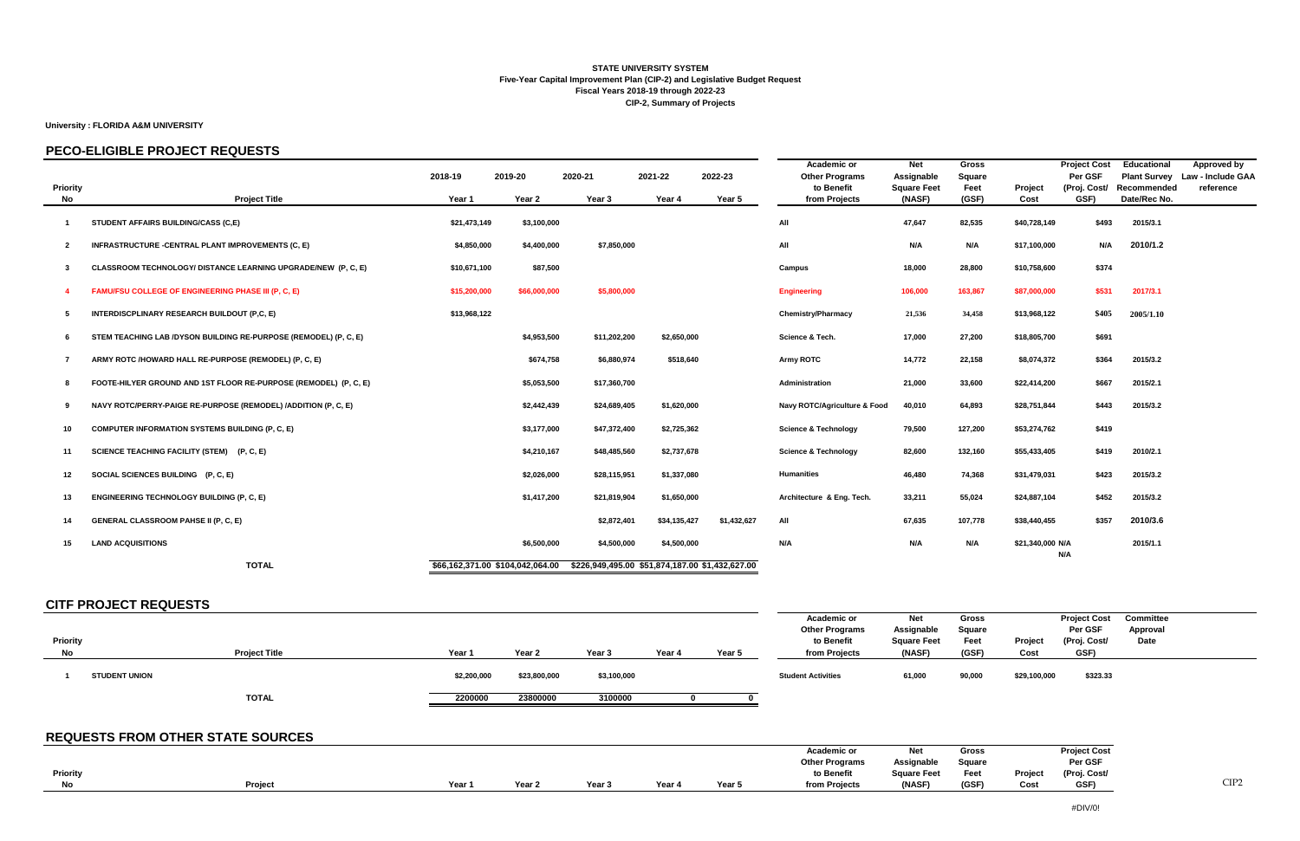### **University : FLORIDA A&M UNIVERSITY**

### **PECO-ELIGIBLE PROJECT REQUESTS**

| <b>Priority</b> |                                                                  | 2018-19      | 2019-20                          | 2020-21                                         | 2021-22      | 2022-23     | <b>Academic or</b><br><b>Other Programs</b><br>to Benefit | <b>Net</b><br>Assignable<br><b>Square Feet</b> | <b>Gross</b><br><b>Square</b><br>Feet | Project          | <b>Project Cost</b><br>Per GSF<br>(Proj. Cost/ | <b>Educational</b><br>Recommended | Approved by<br>Plant Survey Law - Include GAA<br>reference |
|-----------------|------------------------------------------------------------------|--------------|----------------------------------|-------------------------------------------------|--------------|-------------|-----------------------------------------------------------|------------------------------------------------|---------------------------------------|------------------|------------------------------------------------|-----------------------------------|------------------------------------------------------------|
| No              | <b>Project Title</b>                                             | Year 1       | Year 2                           | Year 3                                          | Year 4       | Year 5      | from Projects                                             | (NASF)                                         | (GSF)                                 | Cost             | GSF)                                           | Date/Rec No.                      |                                                            |
|                 | STUDENT AFFAIRS BUILDING/CASS (C,E)                              | \$21,473,149 | \$3,100,000                      |                                                 |              |             | All                                                       | 47,647                                         | 82,535                                | \$40,728,149     | \$493                                          | 2015/3.1                          |                                                            |
| -2              | INFRASTRUCTURE - CENTRAL PLANT IMPROVEMENTS (C, E)               | \$4,850,000  | \$4,400,000                      | \$7,850,000                                     |              |             | All                                                       | N/A                                            | N/A                                   | \$17,100,000     | N/A                                            | 2010/1.2                          |                                                            |
| -3              | CLASSROOM TECHNOLOGY/ DISTANCE LEARNING UPGRADE/NEW (P, C, E)    | \$10,671,100 | \$87,500                         |                                                 |              |             | Campus                                                    | 18,000                                         | 28,800                                | \$10,758,600     | \$374                                          |                                   |                                                            |
|                 | FAMU/FSU COLLEGE OF ENGINEERING PHASE III (P, C, E)              | \$15,200,000 | \$66,000,000                     | \$5,800,000                                     |              |             | <b>Engineering</b>                                        | 106,000                                        | 163,867                               | \$87,000,000     | \$531                                          | 2017/3.1                          |                                                            |
| -5              | INTERDISCPLINARY RESEARCH BUILDOUT (P,C, E)                      | \$13,968,122 |                                  |                                                 |              |             | <b>Chemistry/Pharmacy</b>                                 | 21,536                                         | 34,458                                | \$13,968,122     | \$405                                          | 2005/1.10                         |                                                            |
|                 | STEM TEACHING LAB /DYSON BUILDING RE-PURPOSE (REMODEL) (P, C, E) |              | \$4,953,500                      | \$11,202,200                                    | \$2,650,000  |             | Science & Tech.                                           | 17,000                                         | 27,200                                | \$18,805,700     | \$691                                          |                                   |                                                            |
|                 | ARMY ROTC /HOWARD HALL RE-PURPOSE (REMODEL) (P, C, E)            |              | \$674,758                        | \$6,880,974                                     | \$518,640    |             | <b>Army ROTC</b>                                          | 14,772                                         | 22,158                                | \$8,074,372      | \$364                                          | 2015/3.2                          |                                                            |
|                 | FOOTE-HILYER GROUND AND 1ST FLOOR RE-PURPOSE (REMODEL) (P, C, E) |              | \$5,053,500                      | \$17,360,700                                    |              |             | Administration                                            | 21,000                                         | 33,600                                | \$22,414,200     | \$667                                          | 2015/2.1                          |                                                            |
| - 9             | NAVY ROTC/PERRY-PAIGE RE-PURPOSE (REMODEL) /ADDITION (P, C, E)   |              | \$2,442,439                      | \$24,689,405                                    | \$1,620,000  |             | Navy ROTC/Agriculture & Food                              | 40,010                                         | 64,893                                | \$28,751,844     | \$443                                          | 2015/3.2                          |                                                            |
| 10              | <b>COMPUTER INFORMATION SYSTEMS BUILDING (P, C, E)</b>           |              | \$3,177,000                      | \$47,372,400                                    | \$2,725,362  |             | <b>Science &amp; Technology</b>                           | 79,500                                         | 127,200                               | \$53,274,762     | \$419                                          |                                   |                                                            |
| 11              | SCIENCE TEACHING FACILITY (STEM) (P, C, E)                       |              | \$4,210,167                      | \$48,485,560                                    | \$2,737,678  |             | <b>Science &amp; Technology</b>                           | 82,600                                         | 132,160                               | \$55,433,405     | \$419                                          | 2010/2.1                          |                                                            |
| $12 \,$         | SOCIAL SCIENCES BUILDING (P, C, E)                               |              | \$2,026,000                      | \$28,115,951                                    | \$1,337,080  |             | <b>Humanities</b>                                         | 46,480                                         | 74,368                                | \$31,479,031     | \$423                                          | 2015/3.2                          |                                                            |
| 13              | <b>ENGINEERING TECHNOLOGY BUILDING (P, C, E)</b>                 |              | \$1,417,200                      | \$21,819,904                                    | \$1,650,000  |             | Architecture & Eng. Tech.                                 | 33,211                                         | 55,024                                | \$24,887,104     | \$452                                          | 2015/3.2                          |                                                            |
| 14              | <b>GENERAL CLASSROOM PAHSE II (P, C, E)</b>                      |              |                                  | \$2,872,401                                     | \$34,135,427 | \$1,432,627 | All                                                       | 67,635                                         | 107,778                               | \$38,440,455     | \$357                                          | 2010/3.6                          |                                                            |
| 15              | <b>LAND ACQUISITIONS</b>                                         |              | \$6,500,000                      | \$4,500,000                                     | \$4,500,000  |             | N/A                                                       | N/A                                            | N/A                                   | \$21,340,000 N/A |                                                | 2015/1.1                          |                                                            |
|                 | <b>TOTAL</b>                                                     |              | \$66,162,371.00 \$104,042,064.00 | \$226,949,495.00 \$51,874,187.00 \$1,432,627.00 |              |             |                                                           |                                                |                                       |                  | N/A                                            |                                   |                                                            |

### **CITF PROJECT REQUESTS**

| <b>Priority</b><br>No | <b>Project Title</b> | Year        | Year 2       | Year <sub>3</sub> | Year 4 | Year 5 | Academic or<br><b>Other Programs</b><br>to Benefit<br>from Projects | Net<br>Assignable<br><b>Square Feet</b><br>(NASF) | Gross<br>Square<br>Feet<br>(GSF) | Project<br>Cost | <b>Project Cost</b><br>Per GSF<br>(Proj. Cost/<br>GSF) | <b>Committee</b><br>Approval<br>Date |
|-----------------------|----------------------|-------------|--------------|-------------------|--------|--------|---------------------------------------------------------------------|---------------------------------------------------|----------------------------------|-----------------|--------------------------------------------------------|--------------------------------------|
|                       | <b>STUDENT UNION</b> | \$2,200,000 | \$23,800,000 | \$3,100,000       |        |        | <b>Student Activities</b>                                           | 61,000                                            | 90,000                           | \$29,100,000    | \$323.33                                               |                                      |
|                       | <b>TOTAL</b>         | 2200000     | 23800000     | 3100000           |        |        |                                                                     |                                                   |                                  |                 |                                                        |                                      |

## **REQUESTS FROM OTHER STATE SOURCES**

|                 |         |        |                   |      |      |       | <b>Academic or</b>    | <b>Net</b>         | Gross         |         | <b>Project Cost</b> |
|-----------------|---------|--------|-------------------|------|------|-------|-----------------------|--------------------|---------------|---------|---------------------|
|                 |         |        |                   |      |      |       | <b>Other Programs</b> | Assignable         | <b>Square</b> |         | Per GSF             |
| <b>Priority</b> |         |        |                   |      |      |       | to Benefit            | <b>Square Feet</b> | Feet          | Project | (Proj. Cost/        |
| N <sub>0</sub>  | Project | Year 1 | Year <sub>2</sub> | Year | Year | Year! | from Projects         | (NASF)             | (GSF)         | Cost    | <b>GSF</b>          |

#### **STATE UNIVERSITY SYSTEM Five-Year Capital Improvement Plan (CIP-2) and Legislative Budget Request Fiscal Years 2018-19 through 2022-23 CIP-2, Summary of Projects**